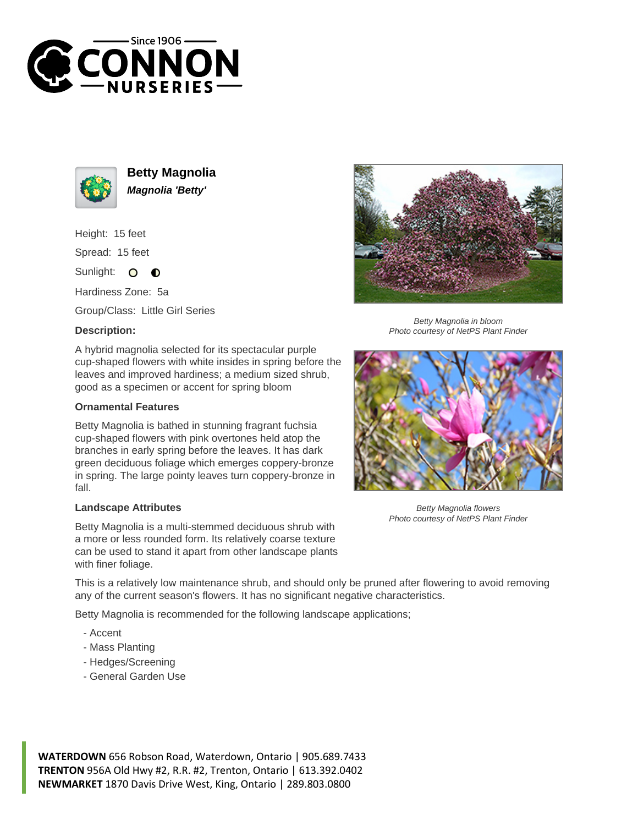



**Betty Magnolia Magnolia 'Betty'**

Height: 15 feet Spread: 15 feet

Sunlight: O  $\bullet$ 

Hardiness Zone: 5a

Group/Class: Little Girl Series

## **Description:**

A hybrid magnolia selected for its spectacular purple cup-shaped flowers with white insides in spring before the leaves and improved hardiness; a medium sized shrub, good as a specimen or accent for spring bloom

## **Ornamental Features**

Betty Magnolia is bathed in stunning fragrant fuchsia cup-shaped flowers with pink overtones held atop the branches in early spring before the leaves. It has dark green deciduous foliage which emerges coppery-bronze in spring. The large pointy leaves turn coppery-bronze in fall.

## **Landscape Attributes**

Betty Magnolia is a multi-stemmed deciduous shrub with a more or less rounded form. Its relatively coarse texture can be used to stand it apart from other landscape plants with finer foliage.

This is a relatively low maintenance shrub, and should only be pruned after flowering to avoid removing any of the current season's flowers. It has no significant negative characteristics.

Betty Magnolia is recommended for the following landscape applications;

- Accent
- Mass Planting
- Hedges/Screening
- General Garden Use

**WATERDOWN** 656 Robson Road, Waterdown, Ontario | 905.689.7433 **TRENTON** 956A Old Hwy #2, R.R. #2, Trenton, Ontario | 613.392.0402 **NEWMARKET** 1870 Davis Drive West, King, Ontario | 289.803.0800



Betty Magnolia in bloom Photo courtesy of NetPS Plant Finder



Betty Magnolia flowers Photo courtesy of NetPS Plant Finder